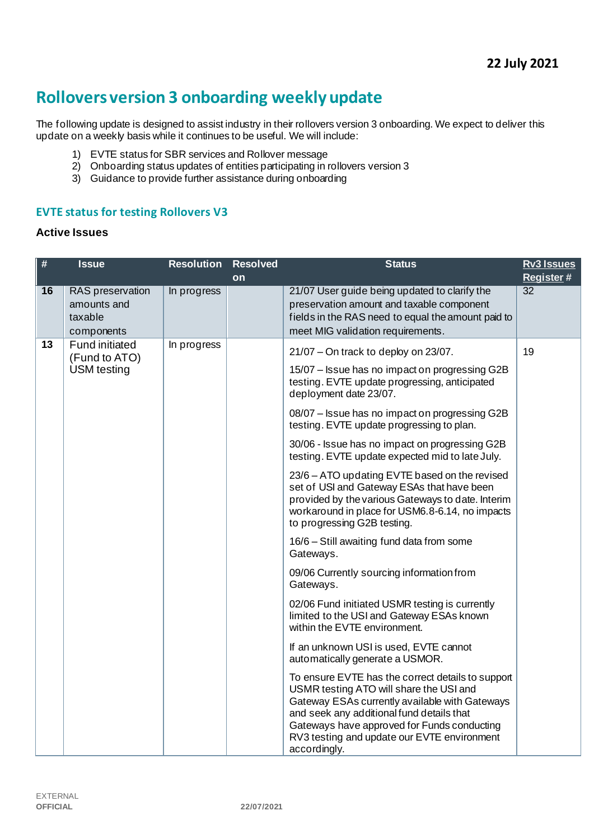# **Rollovers version 3 onboarding weekly update**

The following update is designed to assist industry in their rollovers version 3 onboarding. We expect to deliver this update on a weekly basis while it continues to be useful. We will include:

- 1) EVTE status for SBR services and Rollover message
- 2) Onboarding status updates of entities participating in rollovers version 3
- 3) Guidance to provide further assistance during onboarding

## **EVTE status for testing Rollovers V3**

#### **Active Issues**

| $\#$ | <b>Issue</b>                                                 | <b>Resolution</b> | <b>Resolved</b> | <b>Status</b>                                                                                                                                                                                                                                                                                                                                                                                                                                                                                                                                                                                                                                                                                                                                                                                                                                                                                                                                                                                                                                                                                                                                                                                                                                              | <b>Rv3 Issues</b> |
|------|--------------------------------------------------------------|-------------------|-----------------|------------------------------------------------------------------------------------------------------------------------------------------------------------------------------------------------------------------------------------------------------------------------------------------------------------------------------------------------------------------------------------------------------------------------------------------------------------------------------------------------------------------------------------------------------------------------------------------------------------------------------------------------------------------------------------------------------------------------------------------------------------------------------------------------------------------------------------------------------------------------------------------------------------------------------------------------------------------------------------------------------------------------------------------------------------------------------------------------------------------------------------------------------------------------------------------------------------------------------------------------------------|-------------------|
|      |                                                              |                   | on              |                                                                                                                                                                                                                                                                                                                                                                                                                                                                                                                                                                                                                                                                                                                                                                                                                                                                                                                                                                                                                                                                                                                                                                                                                                                            | Register#         |
| 16   | RAS preservation<br>amounts and<br>taxable<br>components     | In progress       |                 | 21/07 User guide being updated to clarify the<br>preservation amount and taxable component<br>fields in the RAS need to equal the amount paid to<br>meet MIG validation requirements.                                                                                                                                                                                                                                                                                                                                                                                                                                                                                                                                                                                                                                                                                                                                                                                                                                                                                                                                                                                                                                                                      | $\overline{32}$   |
| 13   | <b>Fund initiated</b><br>(Fund to ATO)<br><b>USM</b> testing | In progress       |                 | $21/07$ – On track to deploy on 23/07.<br>15/07 - Issue has no impact on progressing G2B<br>testing. EVTE update progressing, anticipated<br>deployment date 23/07.<br>08/07 - Issue has no impact on progressing G2B<br>testing. EVTE update progressing to plan.<br>30/06 - Issue has no impact on progressing G2B<br>testing. EVTE update expected mid to late July.<br>23/6 - ATO updating EVTE based on the revised<br>set of USI and Gateway ESAs that have been<br>provided by the various Gateways to date. Interim<br>workaround in place for USM6.8-6.14, no impacts<br>to progressing G2B testing.<br>16/6 - Still awaiting fund data from some<br>Gateways.<br>09/06 Currently sourcing information from<br>Gateways.<br>02/06 Fund initiated USMR testing is currently<br>limited to the USI and Gateway ESAs known<br>within the EVTE environment.<br>If an unknown USI is used, EVTE cannot<br>automatically generate a USMOR.<br>To ensure EVTE has the correct details to support<br>USMR testing ATO will share the USI and<br>Gateway ESAs currently available with Gateways<br>and seek any additional fund details that<br>Gateways have approved for Funds conducting<br>RV3 testing and update our EVTE environment<br>accordingly. | 19                |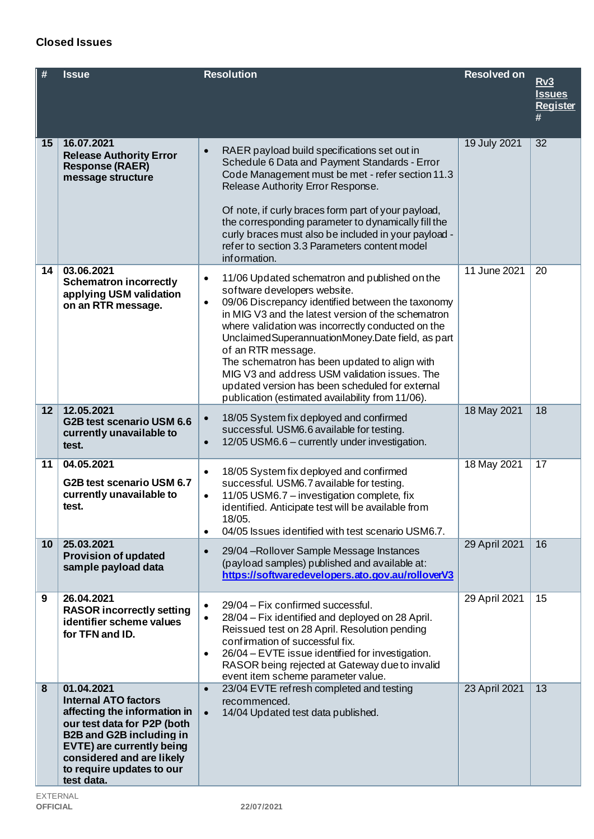# EXTERNAL

| ---------       |            |
|-----------------|------------|
| <b>OFFICIAL</b> | 22/07/2021 |

| #  | <b>Issue</b>                                                                                                                                                                                                                                     | <b>Resolution</b>                                                                                                                                                                                                                                                                                                                                                                                                                                                                                                                                             | <b>Resolved on</b> | Rv3<br><b>Issues</b><br><b>Register</b><br># |
|----|--------------------------------------------------------------------------------------------------------------------------------------------------------------------------------------------------------------------------------------------------|---------------------------------------------------------------------------------------------------------------------------------------------------------------------------------------------------------------------------------------------------------------------------------------------------------------------------------------------------------------------------------------------------------------------------------------------------------------------------------------------------------------------------------------------------------------|--------------------|----------------------------------------------|
| 15 | 16.07.2021<br><b>Release Authority Error</b><br><b>Response (RAER)</b><br>message structure                                                                                                                                                      | RAER payload build specifications set out in<br>$\bullet$<br>Schedule 6 Data and Payment Standards - Error<br>Code Management must be met - refer section 11.3<br>Release Authority Error Response.<br>Of note, if curly braces form part of your payload,<br>the corresponding parameter to dynamically fill the<br>curly braces must also be included in your payload -<br>refer to section 3.3 Parameters content model<br>information.                                                                                                                    | 19 July 2021       | 32                                           |
| 14 | 03.06.2021<br><b>Schematron incorrectly</b><br>applying USM validation<br>on an RTR message.                                                                                                                                                     | 11/06 Updated schematron and published on the<br>$\bullet$<br>software developers website.<br>09/06 Discrepancy identified between the taxonomy<br>$\bullet$<br>in MIG V3 and the latest version of the schematron<br>where validation was incorrectly conducted on the<br>Unclaimed Superannuation Money. Date field, as part<br>of an RTR message.<br>The schematron has been updated to align with<br>MIG V3 and address USM validation issues. The<br>updated version has been scheduled for external<br>publication (estimated availability from 11/06). | 11 June 2021       | 20                                           |
| 12 | 12.05.2021<br>G2B test scenario USM 6.6<br>currently unavailable to<br>test.                                                                                                                                                                     | 18/05 System fix deployed and confirmed<br>$\bullet$<br>successful. USM6.6 available for testing.<br>12/05 USM6.6 - currently under investigation.<br>$\bullet$                                                                                                                                                                                                                                                                                                                                                                                               | 18 May 2021        | 18                                           |
| 11 | 04.05.2021<br>G2B test scenario USM 6.7<br>currently unavailable to<br>test.                                                                                                                                                                     | 18/05 System fix deployed and confirmed<br>$\bullet$<br>successful. USM6.7 available for testing.<br>11/05 USM6.7 - investigation complete, fix<br>$\bullet$<br>identified. Anticipate test will be available from<br>18/05.<br>04/05 Issues identified with test scenario USM6.7.<br>$\bullet$                                                                                                                                                                                                                                                               | 18 May 2021        | 17                                           |
| 10 | 25.03.2021<br><b>Provision of updated</b><br>sample payload data                                                                                                                                                                                 | 29/04 - Rollover Sample Message Instances<br>$\bullet$<br>(payload samples) published and available at:<br>https://softwaredevelopers.ato.gov.au/rolloverV3                                                                                                                                                                                                                                                                                                                                                                                                   | 29 April 2021      | 16                                           |
| 9  | 26.04.2021<br><b>RASOR incorrectly setting</b><br>identifier scheme values<br>for TFN and ID.                                                                                                                                                    | 29/04 - Fix confirmed successful.<br>$\bullet$<br>28/04 – Fix identified and deployed on 28 April.<br>$\bullet$<br>Reissued test on 28 April. Resolution pending<br>confirmation of successful fix.<br>26/04 – EVTE issue identified for investigation.<br>$\bullet$<br>RASOR being rejected at Gateway due to invalid<br>event item scheme parameter value.                                                                                                                                                                                                  | 29 April 2021      | 15                                           |
| 8  | 01.04.2021<br><b>Internal ATO factors</b><br>affecting the information in<br>our test data for P2P (both<br><b>B2B and G2B including in</b><br>EVTE) are currently being<br>considered and are likely<br>to require updates to our<br>test data. | 23/04 EVTE refresh completed and testing<br>$\bullet$<br>recommenced.<br>14/04 Updated test data published.<br>$\bullet$                                                                                                                                                                                                                                                                                                                                                                                                                                      | 23 April 2021      | 13                                           |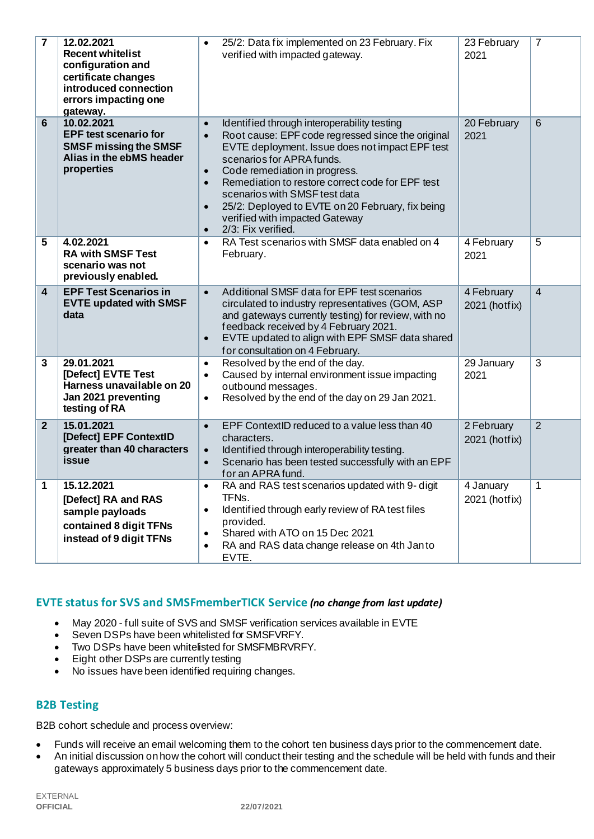| $\overline{7}$ | 12.02.2021<br><b>Recent whitelist</b><br>configuration and<br>certificate changes<br>introduced connection<br>errors impacting one<br>gateway. | 25/2: Data fix implemented on 23 February. Fix<br>$\bullet$<br>verified with impacted gateway.                                                                                                                                                                                                                                                                                                                                                                                                   | 23 February<br>2021         | $\overline{7}$ |
|----------------|------------------------------------------------------------------------------------------------------------------------------------------------|--------------------------------------------------------------------------------------------------------------------------------------------------------------------------------------------------------------------------------------------------------------------------------------------------------------------------------------------------------------------------------------------------------------------------------------------------------------------------------------------------|-----------------------------|----------------|
| 6              | 10.02.2021<br><b>EPF test scenario for</b><br><b>SMSF missing the SMSF</b><br>Alias in the ebMS header<br>properties                           | Identified through interoperability testing<br>$\bullet$<br>Root cause: EPF code regressed since the original<br>$\bullet$<br>EVTE deployment. Issue does not impact EPF test<br>scenarios for APRA funds.<br>Code remediation in progress.<br>$\bullet$<br>Remediation to restore correct code for EPF test<br>$\bullet$<br>scenarios with SMSF test data<br>25/2: Deployed to EVTE on 20 February, fix being<br>$\bullet$<br>verified with impacted Gateway<br>2/3: Fix verified.<br>$\bullet$ | 20 February<br>2021         | $6\phantom{1}$ |
| 5              | 4.02.2021<br><b>RA with SMSF Test</b><br>scenario was not<br>previously enabled.                                                               | RA Test scenarios with SMSF data enabled on 4<br>$\bullet$<br>February.                                                                                                                                                                                                                                                                                                                                                                                                                          | 4 February<br>2021          | 5              |
| 4              | <b>EPF Test Scenarios in</b><br><b>EVTE updated with SMSF</b><br>data                                                                          | Additional SMSF data for EPF test scenarios<br>$\bullet$<br>circulated to industry representatives (GOM, ASP<br>and gateways currently testing) for review, with no<br>feedback received by 4 February 2021.<br>EVTE updated to align with EPF SMSF data shared<br>$\bullet$<br>for consultation on 4 February.                                                                                                                                                                                  | 4 February<br>2021 (hotfix) | $\overline{4}$ |
| 3              | 29.01.2021<br>[Defect] EVTE Test<br>Harness unavailable on 20<br>Jan 2021 preventing<br>testing of RA                                          | Resolved by the end of the day.<br>$\bullet$<br>Caused by internal environment issue impacting<br>$\bullet$<br>outbound messages.<br>Resolved by the end of the day on 29 Jan 2021.<br>$\bullet$                                                                                                                                                                                                                                                                                                 | 29 January<br>2021          | 3              |
| $\overline{2}$ | 15.01.2021<br>[Defect] EPF ContextID<br>greater than 40 characters<br>issue                                                                    | EPF ContextID reduced to a value less than 40<br>$\bullet$<br>characters.<br>Identified through interoperability testing.<br>$\bullet$<br>Scenario has been tested successfully with an EPF<br>$\bullet$<br>for an APRA fund.                                                                                                                                                                                                                                                                    | 2 February<br>2021 (hotfix) | $\overline{2}$ |
| 1              | 15.12.2021<br>[Defect] RA and RAS<br>sample payloads<br>contained 8 digit TFNs<br>instead of 9 digit TFNs                                      | RA and RAS test scenarios updated with 9- digit<br>$\bullet$<br>TFN <sub>s</sub> .<br>Identified through early review of RA test files<br>$\bullet$<br>provided.<br>Shared with ATO on 15 Dec 2021<br>$\bullet$<br>RA and RAS data change release on 4th Janto<br>$\bullet$<br>EVTE.                                                                                                                                                                                                             | 4 January<br>2021 (hotfix)  | 1              |

## **EVTE status for SVS and SMSFmemberTICK Service** *(no change from last update)*

- May 2020 full suite of SVS and SMSF verification services available in EVTE
- Seven DSPs have been whitelisted for SMSFVRFY.
- Two DSPs have been whitelisted for SMSFMBRVRFY.
- Eight other DSPs are currently testing
- No issues have been identified requiring changes.

### **B2B Testing**

B2B cohort schedule and process overview:

- Funds will receive an email welcoming them to the cohort ten business days prior to the commencement date.
- An initial discussion on how the cohort will conduct their testing and the schedule will be held with funds and their gateways approximately 5 business days prior to the commencement date.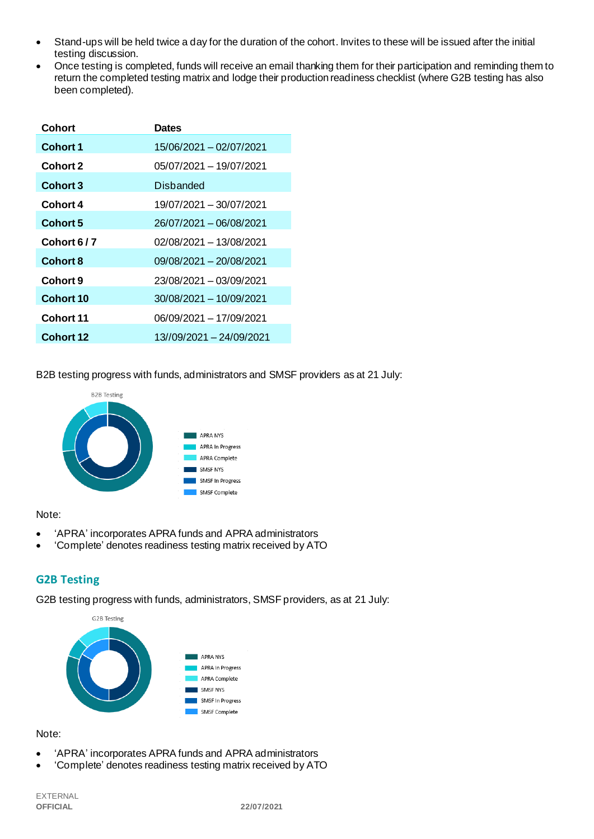- Stand-ups will be held twice a day for the duration of the cohort. Invites to these will be issued after the initial testing discussion.
- Once testing is completed, funds will receive an email thanking them for their participation and reminding them to return the completed testing matrix and lodge their production readiness checklist (where G2B testing has also been completed).

| Cohort           | <b>Dates</b>             |
|------------------|--------------------------|
| <b>Cohort 1</b>  | 15/06/2021 - 02/07/2021  |
| <b>Cohort 2</b>  | 05/07/2021 - 19/07/2021  |
| <b>Cohort 3</b>  | Disbanded                |
| Cohort 4         | 19/07/2021 - 30/07/2021  |
| Cohort 5         | 26/07/2021 - 06/08/2021  |
| Cohort 6/7       | 02/08/2021 - 13/08/2021  |
| <b>Cohort 8</b>  | 09/08/2021 - 20/08/2021  |
| Cohort 9         | 23/08/2021 - 03/09/2021  |
| Cohort 10        | 30/08/2021 - 10/09/2021  |
| Cohort 11        | 06/09/2021 - 17/09/2021  |
| <b>Cohort 12</b> | 13//09/2021 - 24/09/2021 |

B2B testing progress with funds, administrators and SMSF providers as at 21 July:



#### Note:

- 'APRA' incorporates APRA funds and APRA administrators
- 'Complete' denotes readiness testing matrix received by ATO

# **G2B Testing**

G2B testing progress with funds, administrators, SMSF providers, as at 21 July:



#### Note:

- 'APRA' incorporates APRA funds and APRA administrators
- 'Complete' denotes readiness testing matrix received by ATO